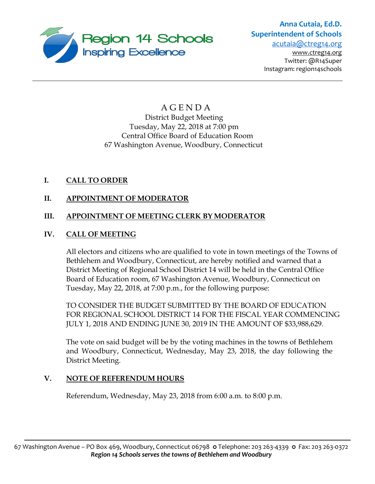

# **Anna Cutaia, Ed.D. Superintendent of Schools**

[acutaia@ctreg14.org](mailto:acutaia@ctreg14.org)  [www.ctreg14.org](http://www.ctreg14.org/) Twitter: @R14Super Instagram: region14schools

# A G E N D A District Budget Meeting Tuesday, May 22, 2018 at 7:00 pm Central Office Board of Education Room 67 Washington Avenue, Woodbury, Connecticut

# **I. CALL TO ORDER**

# **II. APPOINTMENT OF MODERATOR**

# **III. APPOINTMENT OF MEETING CLERK BY MODERATOR**

# **IV. CALL OF MEETING**

All electors and citizens who are qualified to vote in town meetings of the Towns of Bethlehem and Woodbury, Connecticut, are hereby notified and warned that a District Meeting of Regional School District 14 will be held in the Central Office Board of Education room, 67 Washington Avenue, Woodbury, Connecticut on Tuesday, May 22, 2018, at 7:00 p.m., for the following purpose:

TO CONSIDER THE BUDGET SUBMITTED BY THE BOARD OF EDUCATION FOR REGIONAL SCHOOL DISTRICT 14 FOR THE FISCAL YEAR COMMENCING JULY 1, 2018 AND ENDING JUNE 30, 2019 IN THE AMOUNT OF \$33,988,629.

The vote on said budget will be by the voting machines in the towns of Bethlehem and Woodbury, Connecticut, Wednesday, May 23, 2018, the day following the District Meeting.

# **V. NOTE OF REFERENDUM HOURS**

Referendum, Wednesday, May 23, 2018 from 6:00 a.m. to 8:00 p.m.